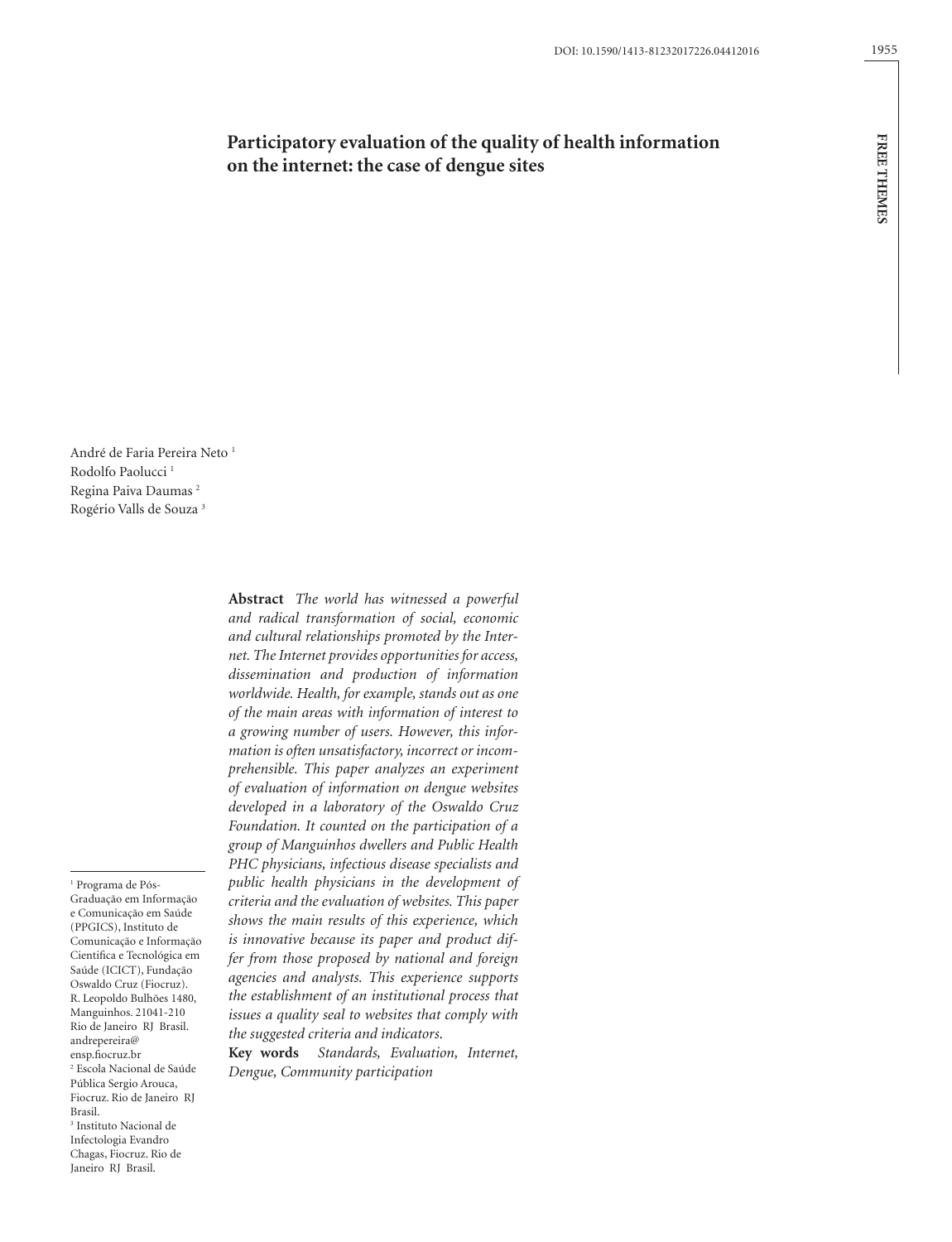# **Participatory evaluation of the quality of health information**

**on the internet: the case of dengue sites**

André de Faria Pereira Neto<sup>1</sup> Rodolfo Paolucci<sup>1</sup> Regina Paiva Daumas 2 Rogério Valls de Souza 3

1 Programa de Pós-Graduação em Informação e Comunicação em Saúde (PPGICS), Instituto de Comunicação e Informação Cientifica e Tecnológica em Saúde (ICICT), Fundação Oswaldo Cruz (Fiocruz). R. Leopoldo Bulhões 1480, Manguinhos. 21041-210 Rio de Janeiro RJ Brasil. andrepereira@ ensp.fiocruz.br 2 Escola Nacional de Saúde Pública Sergio Arouca, Fiocruz. Rio de Janeiro RJ Brasil. 3 Instituto Nacional de Infectologia Evandro Chagas, Fiocruz. Rio de Janeiro RJ Brasil.

**Abstract** *The world has witnessed a powerful and radical transformation of social, economic and cultural relationships promoted by the Internet. The Internet provides opportunities for access, dissemination and production of information worldwide. Health, for example, stands out as one of the main areas with information of interest to a growing number of users. However, this information is often unsatisfactory, incorrect or incomprehensible. This paper analyzes an experiment of evaluation of information on dengue websites developed in a laboratory of the Oswaldo Cruz Foundation. It counted on the participation of a group of Manguinhos dwellers and Public Health PHC physicians, infectious disease specialists and public health physicians in the development of criteria and the evaluation of websites. This paper shows the main results of this experience, which is innovative because its paper and product differ from those proposed by national and foreign agencies and analysts. This experience supports the establishment of an institutional process that issues a quality seal to websites that comply with the suggested criteria and indicators*.

**Key words** *Standards, Evaluation, Internet, Dengue, Community participation*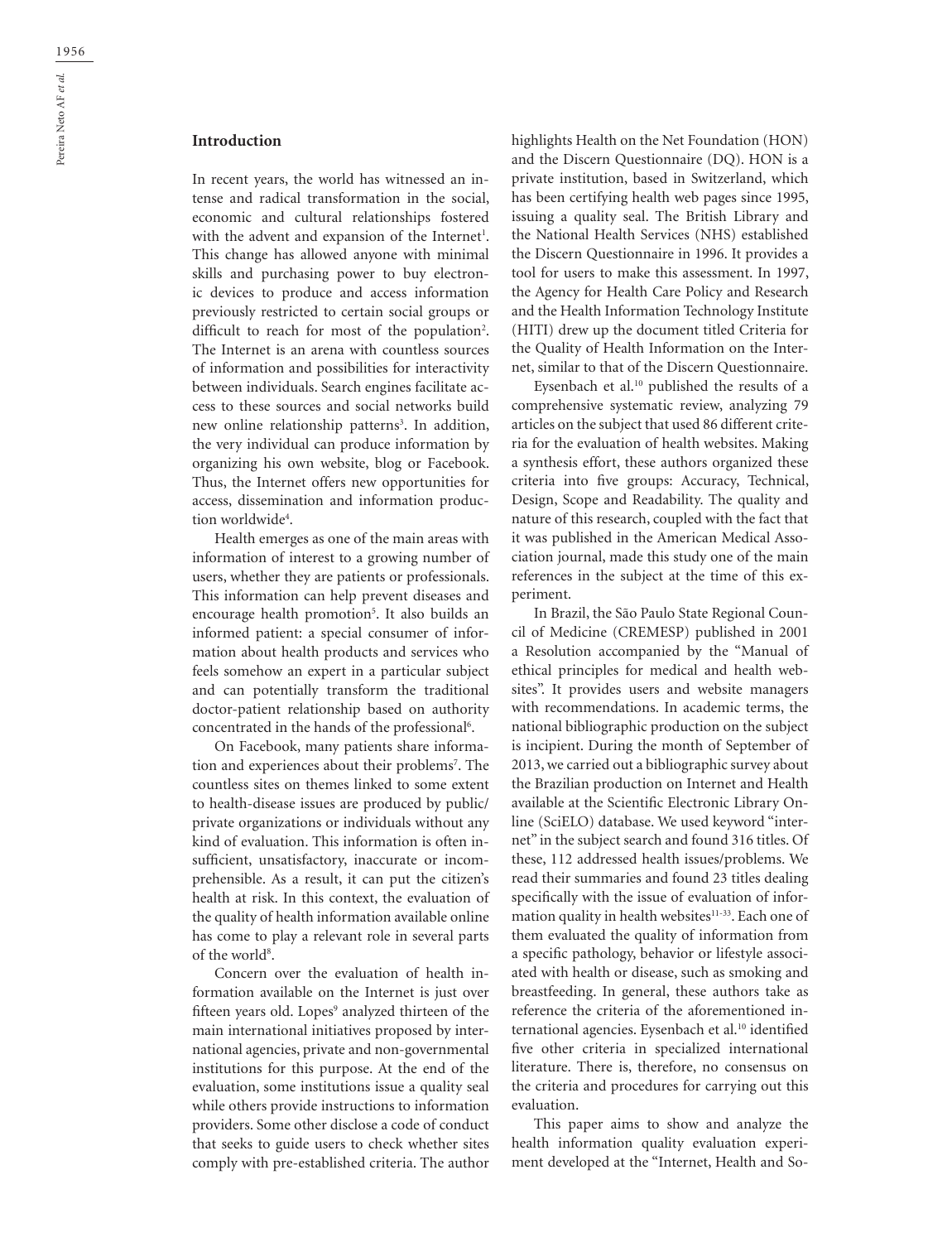# **Introduction**

In recent years, the world has witnessed an intense and radical transformation in the social, economic and cultural relationships fostered with the advent and expansion of the Internet<sup>1</sup>. This change has allowed anyone with minimal skills and purchasing power to buy electronic devices to produce and access information previously restricted to certain social groups or difficult to reach for most of the population<sup>2</sup>. The Internet is an arena with countless sources of information and possibilities for interactivity between individuals. Search engines facilitate access to these sources and social networks build new online relationship patterns<sup>3</sup>. In addition, the very individual can produce information by organizing his own website, blog or Facebook. Thus, the Internet offers new opportunities for access, dissemination and information production worldwide<sup>4</sup>.

Health emerges as one of the main areas with information of interest to a growing number of users, whether they are patients or professionals. This information can help prevent diseases and encourage health promotion<sup>5</sup>. It also builds an informed patient: a special consumer of information about health products and services who feels somehow an expert in a particular subject and can potentially transform the traditional doctor-patient relationship based on authority concentrated in the hands of the professional<sup>6</sup>.

On Facebook, many patients share information and experiences about their problems<sup>7</sup>. The countless sites on themes linked to some extent to health-disease issues are produced by public/ private organizations or individuals without any kind of evaluation. This information is often insufficient, unsatisfactory, inaccurate or incomprehensible. As a result, it can put the citizen's health at risk. In this context, the evaluation of the quality of health information available online has come to play a relevant role in several parts of the world<sup>8</sup>.

Concern over the evaluation of health information available on the Internet is just over fifteen years old. Lopes<sup>9</sup> analyzed thirteen of the main international initiatives proposed by international agencies, private and non-governmental institutions for this purpose. At the end of the evaluation, some institutions issue a quality seal while others provide instructions to information providers. Some other disclose a code of conduct that seeks to guide users to check whether sites comply with pre-established criteria. The author

highlights Health on the Net Foundation (HON) and the Discern Questionnaire (DQ). HON is a private institution, based in Switzerland, which has been certifying health web pages since 1995, issuing a quality seal. The British Library and the National Health Services (NHS) established the Discern Questionnaire in 1996. It provides a tool for users to make this assessment. In 1997, the Agency for Health Care Policy and Research and the Health Information Technology Institute (HITI) drew up the document titled Criteria for the Quality of Health Information on the Internet, similar to that of the Discern Questionnaire.

Eysenbach et al.<sup>10</sup> published the results of a comprehensive systematic review, analyzing 79 articles on the subject that used 86 different criteria for the evaluation of health websites. Making a synthesis effort, these authors organized these criteria into five groups: Accuracy, Technical, Design, Scope and Readability. The quality and nature of this research, coupled with the fact that it was published in the American Medical Association journal, made this study one of the main references in the subject at the time of this experiment.

In Brazil, the São Paulo State Regional Council of Medicine (CREMESP) published in 2001 a Resolution accompanied by the "Manual of ethical principles for medical and health websites". It provides users and website managers with recommendations. In academic terms, the national bibliographic production on the subject is incipient. During the month of September of 2013, we carried out a bibliographic survey about the Brazilian production on Internet and Health available at the Scientific Electronic Library Online (SciELO) database. We used keyword "internet" in the subject search and found 316 titles. Of these, 112 addressed health issues/problems. We read their summaries and found 23 titles dealing specifically with the issue of evaluation of information quality in health websites<sup>11-33</sup>. Each one of them evaluated the quality of information from a specific pathology, behavior or lifestyle associated with health or disease, such as smoking and breastfeeding. In general, these authors take as reference the criteria of the aforementioned international agencies. Eysenbach et al.<sup>10</sup> identified five other criteria in specialized international literature. There is, therefore, no consensus on the criteria and procedures for carrying out this evaluation.

This paper aims to show and analyze the health information quality evaluation experiment developed at the "Internet, Health and So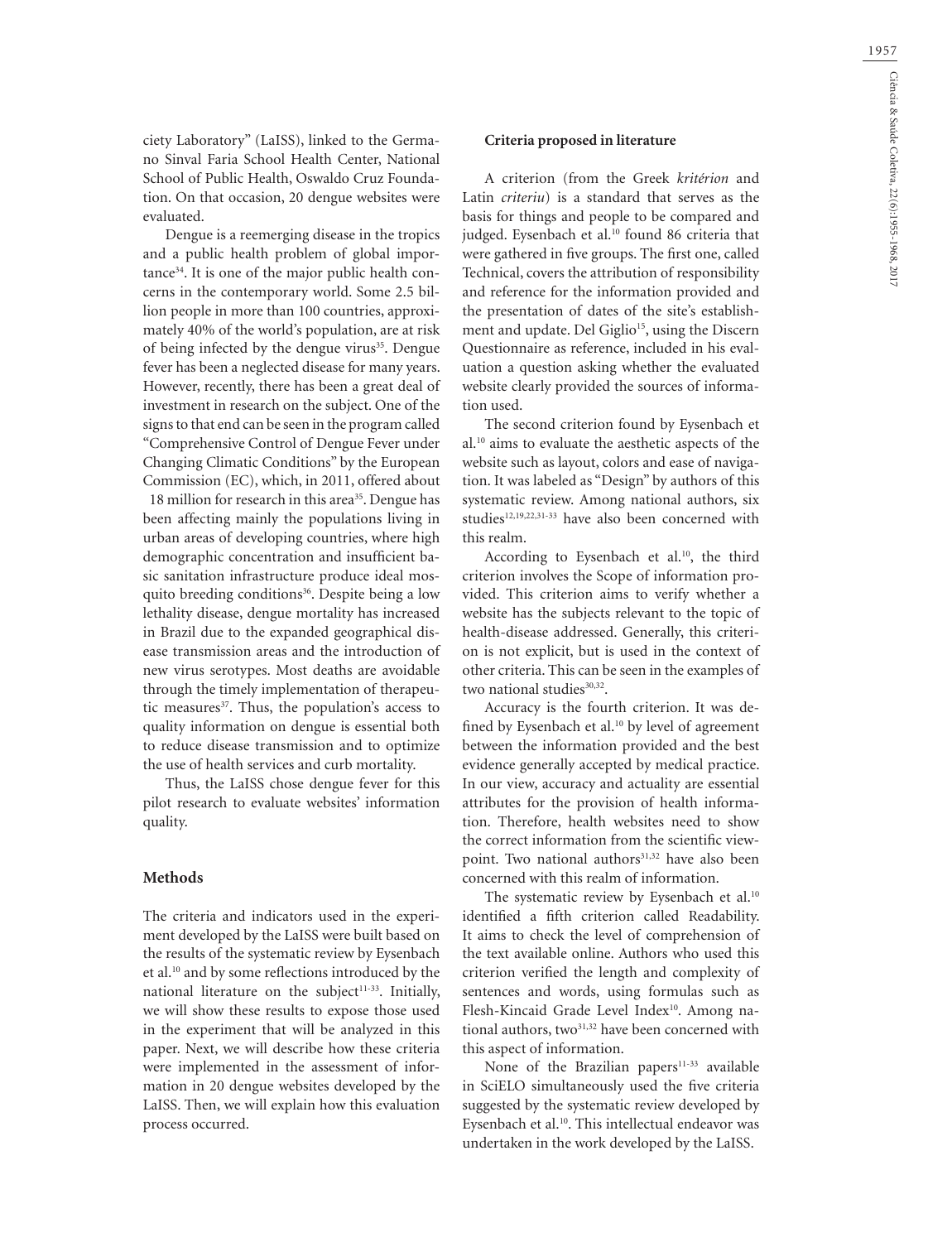ciety Laboratory" (LaISS), linked to the Germano Sinval Faria School Health Center, National School of Public Health, Oswaldo Cruz Foundation. On that occasion, 20 dengue websites were evaluated.

Dengue is a reemerging disease in the tropics and a public health problem of global importance34. It is one of the major public health concerns in the contemporary world. Some 2.5 billion people in more than 100 countries, approximately 40% of the world's population, are at risk of being infected by the dengue virus<sup>35</sup>. Dengue fever has been a neglected disease for many years. However, recently, there has been a great deal of investment in research on the subject. One of the signs to that end can be seen in the program called "Comprehensive Control of Dengue Fever under Changing Climatic Conditions" by the European Commission (EC), which, in 2011, offered about € 18 million for research in this area35. Dengue has been affecting mainly the populations living in urban areas of developing countries, where high demographic concentration and insufficient basic sanitation infrastructure produce ideal mosquito breeding conditions<sup>36</sup>. Despite being a low lethality disease, dengue mortality has increased in Brazil due to the expanded geographical disease transmission areas and the introduction of new virus serotypes. Most deaths are avoidable through the timely implementation of therapeutic measures<sup>37</sup>. Thus, the population's access to quality information on dengue is essential both to reduce disease transmission and to optimize the use of health services and curb mortality.

Thus, the LaISS chose dengue fever for this pilot research to evaluate websites' information quality.

#### **Methods**

The criteria and indicators used in the experiment developed by the LaISS were built based on the results of the systematic review by Eysenbach et al.10 and by some reflections introduced by the national literature on the subject $11-33$ . Initially, we will show these results to expose those used in the experiment that will be analyzed in this paper. Next, we will describe how these criteria were implemented in the assessment of information in 20 dengue websites developed by the LaISS. Then, we will explain how this evaluation process occurred.

## **Criteria proposed in literature**

A criterion (from the Greek *kritérion* and Latin *criteriu*) is a standard that serves as the basis for things and people to be compared and judged. Eysenbach et al.<sup>10</sup> found 86 criteria that were gathered in five groups. The first one, called Technical, covers the attribution of responsibility and reference for the information provided and the presentation of dates of the site's establishment and update. Del Giglio<sup>15</sup>, using the Discern Questionnaire as reference, included in his evaluation a question asking whether the evaluated website clearly provided the sources of information used.

The second criterion found by Eysenbach et al.10 aims to evaluate the aesthetic aspects of the website such as layout, colors and ease of navigation. It was labeled as "Design" by authors of this systematic review. Among national authors, six studies<sup>12,19,22,31-33</sup> have also been concerned with this realm.

According to Eysenbach et al.<sup>10</sup>, the third criterion involves the Scope of information provided. This criterion aims to verify whether a website has the subjects relevant to the topic of health-disease addressed. Generally, this criterion is not explicit, but is used in the context of other criteria. This can be seen in the examples of two national studies<sup>30,32</sup>.

Accuracy is the fourth criterion. It was defined by Eysenbach et al.<sup>10</sup> by level of agreement between the information provided and the best evidence generally accepted by medical practice. In our view, accuracy and actuality are essential attributes for the provision of health information. Therefore, health websites need to show the correct information from the scientific viewpoint. Two national authors<sup>31,32</sup> have also been concerned with this realm of information.

The systematic review by Eysenbach et al.<sup>10</sup> identified a fifth criterion called Readability. It aims to check the level of comprehension of the text available online. Authors who used this criterion verified the length and complexity of sentences and words, using formulas such as Flesh-Kincaid Grade Level Index<sup>10</sup>. Among national authors, two $31,32$  have been concerned with this aspect of information.

None of the Brazilian papers $11-33$  available in SciELO simultaneously used the five criteria suggested by the systematic review developed by Eysenbach et al.<sup>10</sup>. This intellectual endeavor was undertaken in the work developed by the LaISS.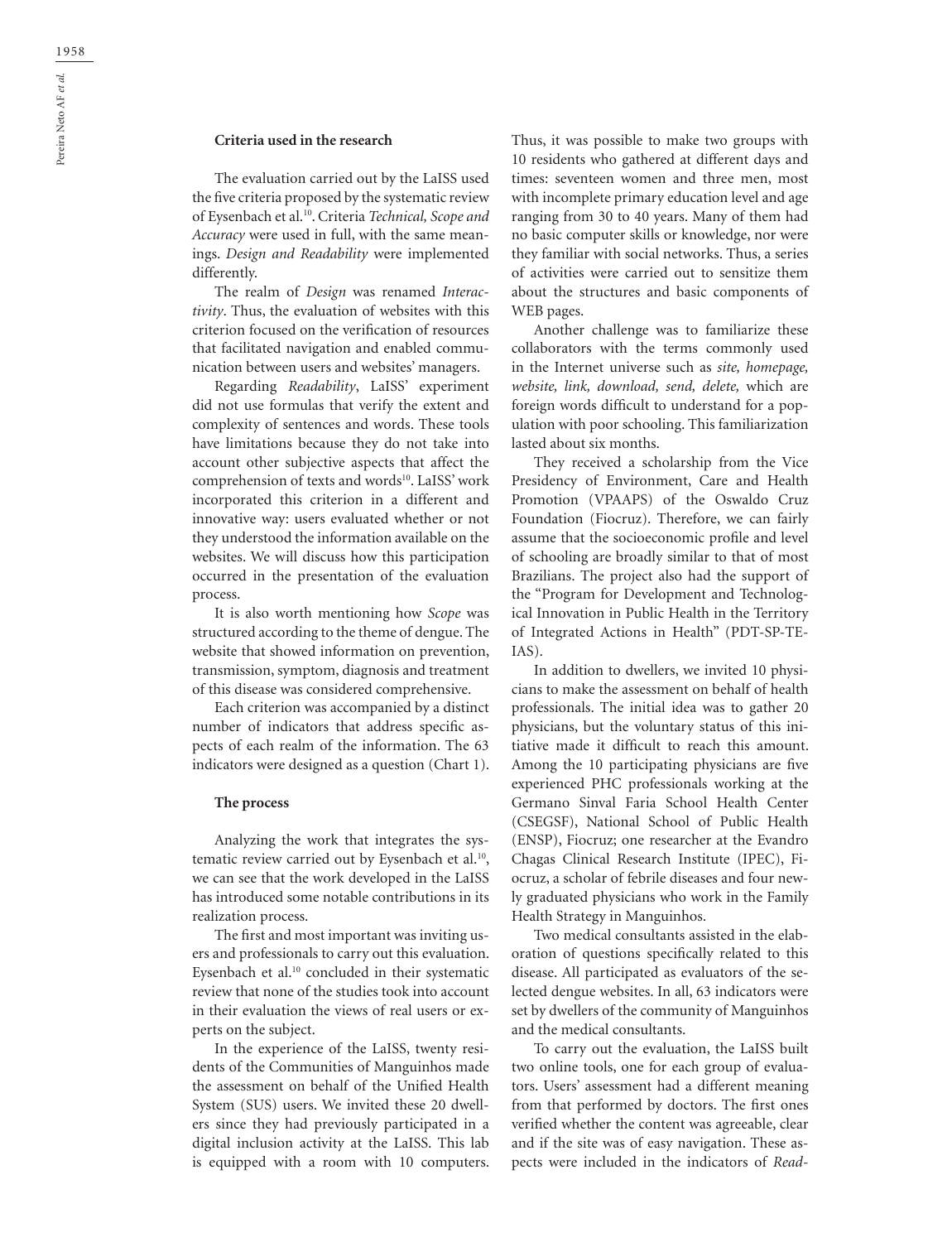The evaluation carried out by the LaISS used the five criteria proposed by the systematic review of Eysenbach et al.10. Criteria *Technical, Scope and Accuracy* were used in full, with the same meanings. *Design and Readability* were implemented differently.

The realm of *Design* was renamed *Interactivity*. Thus, the evaluation of websites with this criterion focused on the verification of resources that facilitated navigation and enabled communication between users and websites' managers.

Regarding *Readability*, LaISS' experiment did not use formulas that verify the extent and complexity of sentences and words. These tools have limitations because they do not take into account other subjective aspects that affect the comprehension of texts and words<sup>10</sup>. LaISS' work incorporated this criterion in a different and innovative way: users evaluated whether or not they understood the information available on the websites. We will discuss how this participation occurred in the presentation of the evaluation process.

It is also worth mentioning how *Scope* was structured according to the theme of dengue. The website that showed information on prevention, transmission, symptom, diagnosis and treatment of this disease was considered comprehensive.

Each criterion was accompanied by a distinct number of indicators that address specific aspects of each realm of the information. The 63 indicators were designed as a question (Chart 1).

#### **The process**

Analyzing the work that integrates the systematic review carried out by Eysenbach et al.<sup>10</sup>, we can see that the work developed in the LaISS has introduced some notable contributions in its realization process.

The first and most important was inviting users and professionals to carry out this evaluation. Eysenbach et al.<sup>10</sup> concluded in their systematic review that none of the studies took into account in their evaluation the views of real users or experts on the subject.

In the experience of the LaISS, twenty residents of the Communities of Manguinhos made the assessment on behalf of the Unified Health System (SUS) users. We invited these 20 dwellers since they had previously participated in a digital inclusion activity at the LaISS. This lab is equipped with a room with 10 computers.

Thus, it was possible to make two groups with 10 residents who gathered at different days and times: seventeen women and three men, most with incomplete primary education level and age ranging from 30 to 40 years. Many of them had no basic computer skills or knowledge, nor were they familiar with social networks. Thus, a series of activities were carried out to sensitize them about the structures and basic components of WEB pages.

Another challenge was to familiarize these collaborators with the terms commonly used in the Internet universe such as *site, homepage, website, link, download, send, delete,* which are foreign words difficult to understand for a population with poor schooling. This familiarization lasted about six months.

They received a scholarship from the Vice Presidency of Environment, Care and Health Promotion (VPAAPS) of the Oswaldo Cruz Foundation (Fiocruz). Therefore, we can fairly assume that the socioeconomic profile and level of schooling are broadly similar to that of most Brazilians. The project also had the support of the "Program for Development and Technological Innovation in Public Health in the Territory of Integrated Actions in Health" (PDT-SP-TE-IAS).

In addition to dwellers, we invited 10 physicians to make the assessment on behalf of health professionals. The initial idea was to gather 20 physicians, but the voluntary status of this initiative made it difficult to reach this amount. Among the 10 participating physicians are five experienced PHC professionals working at the Germano Sinval Faria School Health Center (CSEGSF), National School of Public Health (ENSP), Fiocruz; one researcher at the Evandro Chagas Clinical Research Institute (IPEC), Fiocruz, a scholar of febrile diseases and four newly graduated physicians who work in the Family Health Strategy in Manguinhos.

Two medical consultants assisted in the elaboration of questions specifically related to this disease. All participated as evaluators of the selected dengue websites. In all, 63 indicators were set by dwellers of the community of Manguinhos and the medical consultants.

To carry out the evaluation, the LaISS built two online tools, one for each group of evaluators. Users' assessment had a different meaning from that performed by doctors. The first ones verified whether the content was agreeable, clear and if the site was of easy navigation. These aspects were included in the indicators of *Read-*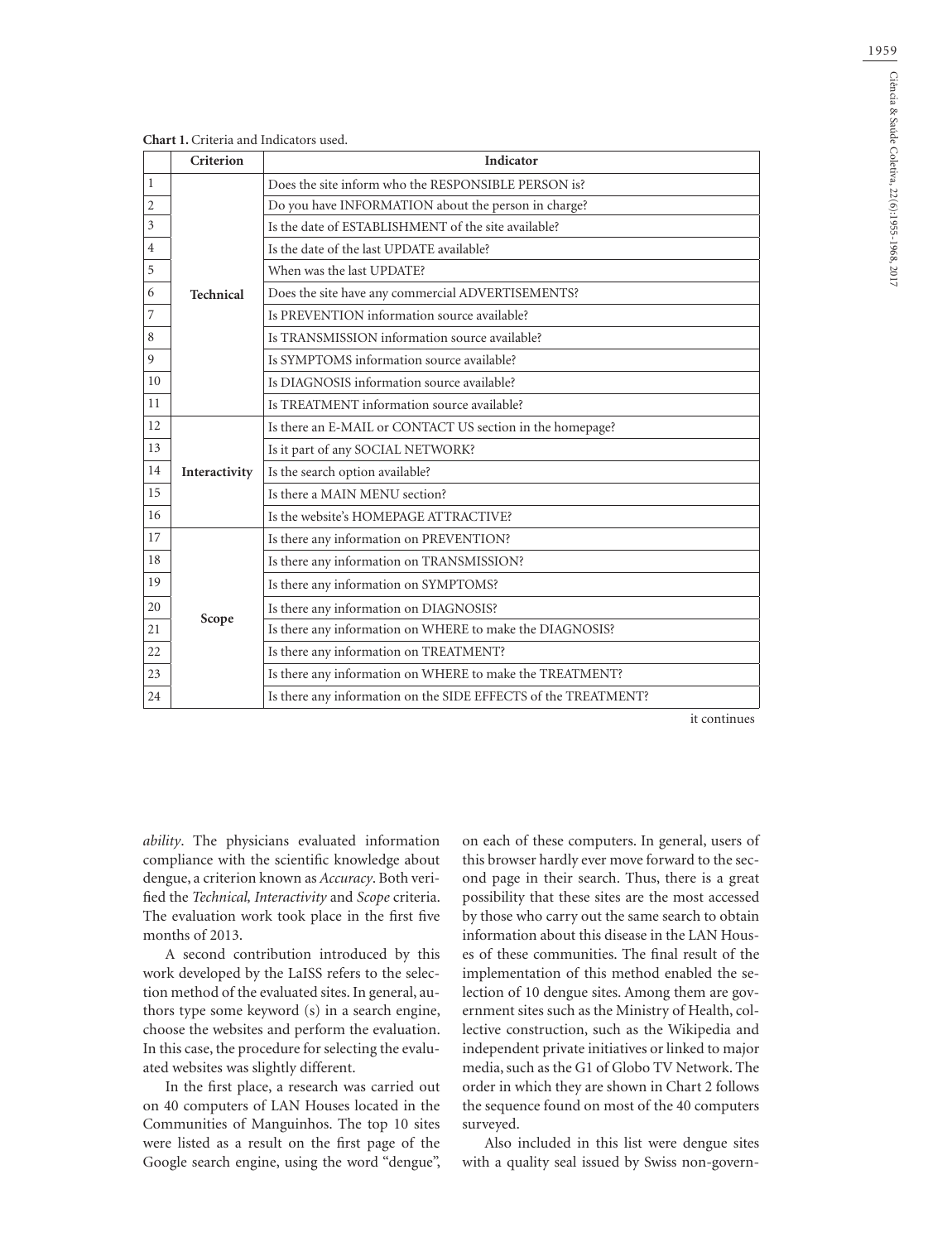1959

|                | Criterion        | Indicator                                                      |  |  |
|----------------|------------------|----------------------------------------------------------------|--|--|
| $\mathbf{1}$   |                  | Does the site inform who the RESPONSIBLE PERSON is?            |  |  |
| $\overline{2}$ |                  | Do you have INFORMATION about the person in charge?            |  |  |
| 3              |                  | Is the date of ESTABLISHMENT of the site available?            |  |  |
| 4              |                  | Is the date of the last UPDATE available?                      |  |  |
| 5              |                  | When was the last UPDATE?                                      |  |  |
| 6              | <b>Technical</b> | Does the site have any commercial ADVERTISEMENTS?              |  |  |
| 7              |                  | Is PREVENTION information source available?                    |  |  |
| 8              |                  | Is TRANSMISSION information source available?                  |  |  |
| $\mathbf Q$    |                  | Is SYMPTOMS information source available?                      |  |  |
| 10             |                  | Is DIAGNOSIS information source available?                     |  |  |
| 11             |                  | Is TREATMENT information source available?                     |  |  |
| 12             |                  | Is there an E-MAIL or CONTACT US section in the homepage?      |  |  |
| 13             |                  | Is it part of any SOCIAL NETWORK?                              |  |  |
| 14             | Interactivity    | Is the search option available?                                |  |  |
| 15             |                  | Is there a MAIN MENU section?                                  |  |  |
| 16             |                  | Is the website's HOMEPAGE ATTRACTIVE?                          |  |  |
| 17             |                  | Is there any information on PREVENTION?                        |  |  |
| 18             |                  | Is there any information on TRANSMISSION?                      |  |  |
| 19             | Scope            | Is there any information on SYMPTOMS?                          |  |  |
| 20             |                  | Is there any information on DIAGNOSIS?                         |  |  |
| 21             |                  | Is there any information on WHERE to make the DIAGNOSIS?       |  |  |
| 22             |                  | Is there any information on TREATMENT?                         |  |  |
| 23             |                  | Is there any information on WHERE to make the TREATMENT?       |  |  |
| 2.4            |                  | Is there any information on the SIDE EFFECTS of the TREATMENT? |  |  |

#### **Chart 1.** Criteria and Indicators used.

it continues

*ability*. The physicians evaluated information compliance with the scientific knowledge about dengue, a criterion known as *Accuracy*. Both verified the *Technical, Interactivity* and *Scope* criteria. The evaluation work took place in the first five months of 2013.

A second contribution introduced by this work developed by the LaISS refers to the selection method of the evaluated sites. In general, authors type some keyword (s) in a search engine, choose the websites and perform the evaluation. In this case, the procedure for selecting the evaluated websites was slightly different.

In the first place, a research was carried out on 40 computers of LAN Houses located in the Communities of Manguinhos. The top 10 sites were listed as a result on the first page of the Google search engine, using the word "dengue",

on each of these computers. In general, users of this browser hardly ever move forward to the second page in their search. Thus, there is a great possibility that these sites are the most accessed by those who carry out the same search to obtain information about this disease in the LAN Houses of these communities. The final result of the implementation of this method enabled the selection of 10 dengue sites. Among them are government sites such as the Ministry of Health, collective construction, such as the Wikipedia and independent private initiatives or linked to major media, such as the G1 of Globo TV Network. The order in which they are shown in Chart 2 follows the sequence found on most of the 40 computers surveyed.

Also included in this list were dengue sites with a quality seal issued by Swiss non-govern-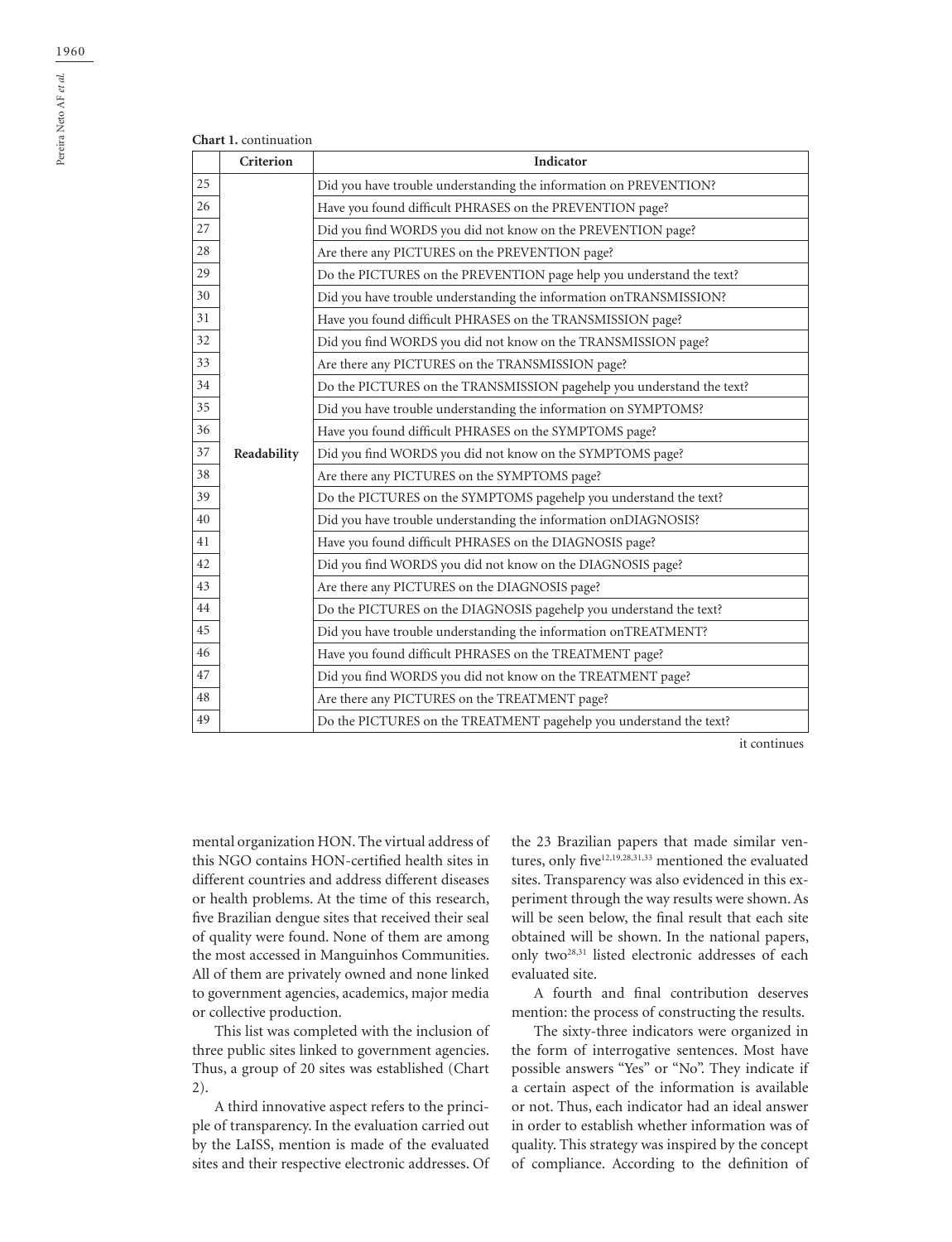|    | Criterion   | Indicator                                                             |  |  |  |
|----|-------------|-----------------------------------------------------------------------|--|--|--|
| 25 |             | Did you have trouble understanding the information on PREVENTION?     |  |  |  |
| 26 |             | Have you found difficult PHRASES on the PREVENTION page?              |  |  |  |
| 27 |             | Did you find WORDS you did not know on the PREVENTION page?           |  |  |  |
| 28 |             | Are there any PICTURES on the PREVENTION page?                        |  |  |  |
| 29 |             | Do the PICTURES on the PREVENTION page help you understand the text?  |  |  |  |
| 30 |             | Did you have trouble understanding the information onTRANSMISSION?    |  |  |  |
| 31 |             | Have you found difficult PHRASES on the TRANSMISSION page?            |  |  |  |
| 32 |             | Did you find WORDS you did not know on the TRANSMISSION page?         |  |  |  |
| 33 |             | Are there any PICTURES on the TRANSMISSION page?                      |  |  |  |
| 34 |             | Do the PICTURES on the TRANSMISSION pagehelp you understand the text? |  |  |  |
| 35 |             | Did you have trouble understanding the information on SYMPTOMS?       |  |  |  |
| 36 |             | Have you found difficult PHRASES on the SYMPTOMS page?                |  |  |  |
| 37 | Readability | Did you find WORDS you did not know on the SYMPTOMS page?             |  |  |  |
| 38 |             | Are there any PICTURES on the SYMPTOMS page?                          |  |  |  |
| 39 |             | Do the PICTURES on the SYMPTOMS pagehelp you understand the text?     |  |  |  |
| 40 |             | Did you have trouble understanding the information onDIAGNOSIS?       |  |  |  |
| 41 |             | Have you found difficult PHRASES on the DIAGNOSIS page?               |  |  |  |
| 42 |             | Did you find WORDS you did not know on the DIAGNOSIS page?            |  |  |  |
| 43 |             | Are there any PICTURES on the DIAGNOSIS page?                         |  |  |  |
| 44 |             | Do the PICTURES on the DIAGNOSIS pagehelp you understand the text?    |  |  |  |
| 45 |             | Did you have trouble understanding the information onTREATMENT?       |  |  |  |
| 46 |             | Have you found difficult PHRASES on the TREATMENT page?               |  |  |  |
| 47 |             | Did you find WORDS you did not know on the TREATMENT page?            |  |  |  |
| 48 |             | Are there any PICTURES on the TREATMENT page?                         |  |  |  |

49 Do the PICTURES on the TREATMENT pagehelp you understand the text?

it continues

mental organization HON. The virtual address of this NGO contains HON-certified health sites in different countries and address different diseases or health problems. At the time of this research, five Brazilian dengue sites that received their seal of quality were found. None of them are among the most accessed in Manguinhos Communities. All of them are privately owned and none linked to government agencies, academics, major media or collective production.

This list was completed with the inclusion of three public sites linked to government agencies. Thus, a group of 20 sites was established (Chart 2).

A third innovative aspect refers to the principle of transparency. In the evaluation carried out by the LaISS, mention is made of the evaluated sites and their respective electronic addresses. Of the 23 Brazilian papers that made similar ventures, only five<sup>12,19,28,31,33</sup> mentioned the evaluated sites. Transparency was also evidenced in this experiment through the way results were shown. As will be seen below, the final result that each site obtained will be shown. In the national papers, only two28,31 listed electronic addresses of each evaluated site.

A fourth and final contribution deserves mention: the process of constructing the results.

The sixty-three indicators were organized in the form of interrogative sentences. Most have possible answers "Yes" or "No". They indicate if a certain aspect of the information is available or not. Thus, each indicator had an ideal answer in order to establish whether information was of quality. This strategy was inspired by the concept of compliance. According to the definition of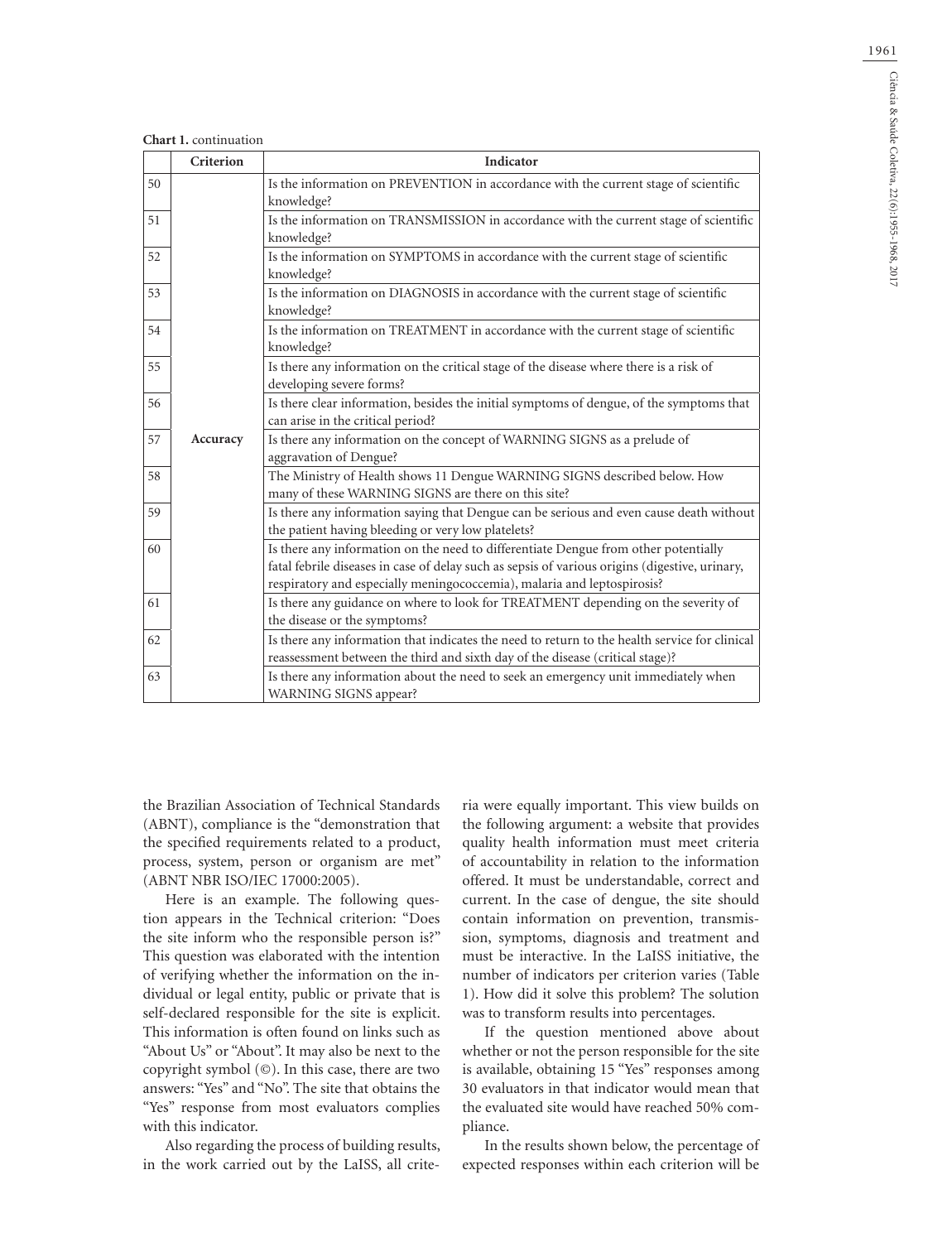#### **Chart 1.** continuation

|    | Criterion | Indicator                                                                                                                                                                                                                                                        |  |  |  |
|----|-----------|------------------------------------------------------------------------------------------------------------------------------------------------------------------------------------------------------------------------------------------------------------------|--|--|--|
| 50 |           | Is the information on PREVENTION in accordance with the current stage of scientific<br>knowledge?                                                                                                                                                                |  |  |  |
| 51 |           | Is the information on TRANSMISSION in accordance with the current stage of scientific<br>knowledge?                                                                                                                                                              |  |  |  |
| 52 |           | Is the information on SYMPTOMS in accordance with the current stage of scientific<br>knowledge?                                                                                                                                                                  |  |  |  |
| 53 |           | Is the information on DIAGNOSIS in accordance with the current stage of scientific<br>knowledge?                                                                                                                                                                 |  |  |  |
| 54 |           | Is the information on TREATMENT in accordance with the current stage of scientific<br>knowledge?                                                                                                                                                                 |  |  |  |
| 55 |           | Is there any information on the critical stage of the disease where there is a risk of<br>developing severe forms?                                                                                                                                               |  |  |  |
| 56 |           | Is there clear information, besides the initial symptoms of dengue, of the symptoms that<br>can arise in the critical period?                                                                                                                                    |  |  |  |
| 57 | Accuracy  | Is there any information on the concept of WARNING SIGNS as a prelude of<br>aggravation of Dengue?                                                                                                                                                               |  |  |  |
| 58 |           | The Ministry of Health shows 11 Dengue WARNING SIGNS described below. How<br>many of these WARNING SIGNS are there on this site?                                                                                                                                 |  |  |  |
| 59 |           | Is there any information saying that Dengue can be serious and even cause death without<br>the patient having bleeding or very low platelets?                                                                                                                    |  |  |  |
| 60 |           | Is there any information on the need to differentiate Dengue from other potentially<br>fatal febrile diseases in case of delay such as sepsis of various origins (digestive, urinary,<br>respiratory and especially meningococcemia), malaria and leptospirosis? |  |  |  |
| 61 |           | Is there any guidance on where to look for TREATMENT depending on the severity of<br>the disease or the symptoms?                                                                                                                                                |  |  |  |
| 62 |           | Is there any information that indicates the need to return to the health service for clinical<br>reassessment between the third and sixth day of the disease (critical stage)?                                                                                   |  |  |  |
| 63 |           | Is there any information about the need to seek an emergency unit immediately when<br>WARNING SIGNS appear?                                                                                                                                                      |  |  |  |

the Brazilian Association of Technical Standards (ABNT), compliance is the "demonstration that the specified requirements related to a product, process, system, person or organism are met" (ABNT NBR ISO/IEC 17000:2005).

Here is an example. The following question appears in the Technical criterion: "Does the site inform who the responsible person is?" This question was elaborated with the intention of verifying whether the information on the individual or legal entity, public or private that is self-declared responsible for the site is explicit. This information is often found on links such as "About Us" or "About". It may also be next to the copyright symbol (©). In this case, there are two answers: "Yes" and "No". The site that obtains the "Yes" response from most evaluators complies with this indicator.

Also regarding the process of building results, in the work carried out by the LaISS, all crite-

ria were equally important. This view builds on the following argument: a website that provides quality health information must meet criteria of accountability in relation to the information offered. It must be understandable, correct and current. In the case of dengue, the site should contain information on prevention, transmission, symptoms, diagnosis and treatment and must be interactive. In the LaISS initiative, the number of indicators per criterion varies (Table 1). How did it solve this problem? The solution was to transform results into percentages.

If the question mentioned above about whether or not the person responsible for the site is available, obtaining 15 "Yes" responses among 30 evaluators in that indicator would mean that the evaluated site would have reached 50% compliance.

In the results shown below, the percentage of expected responses within each criterion will be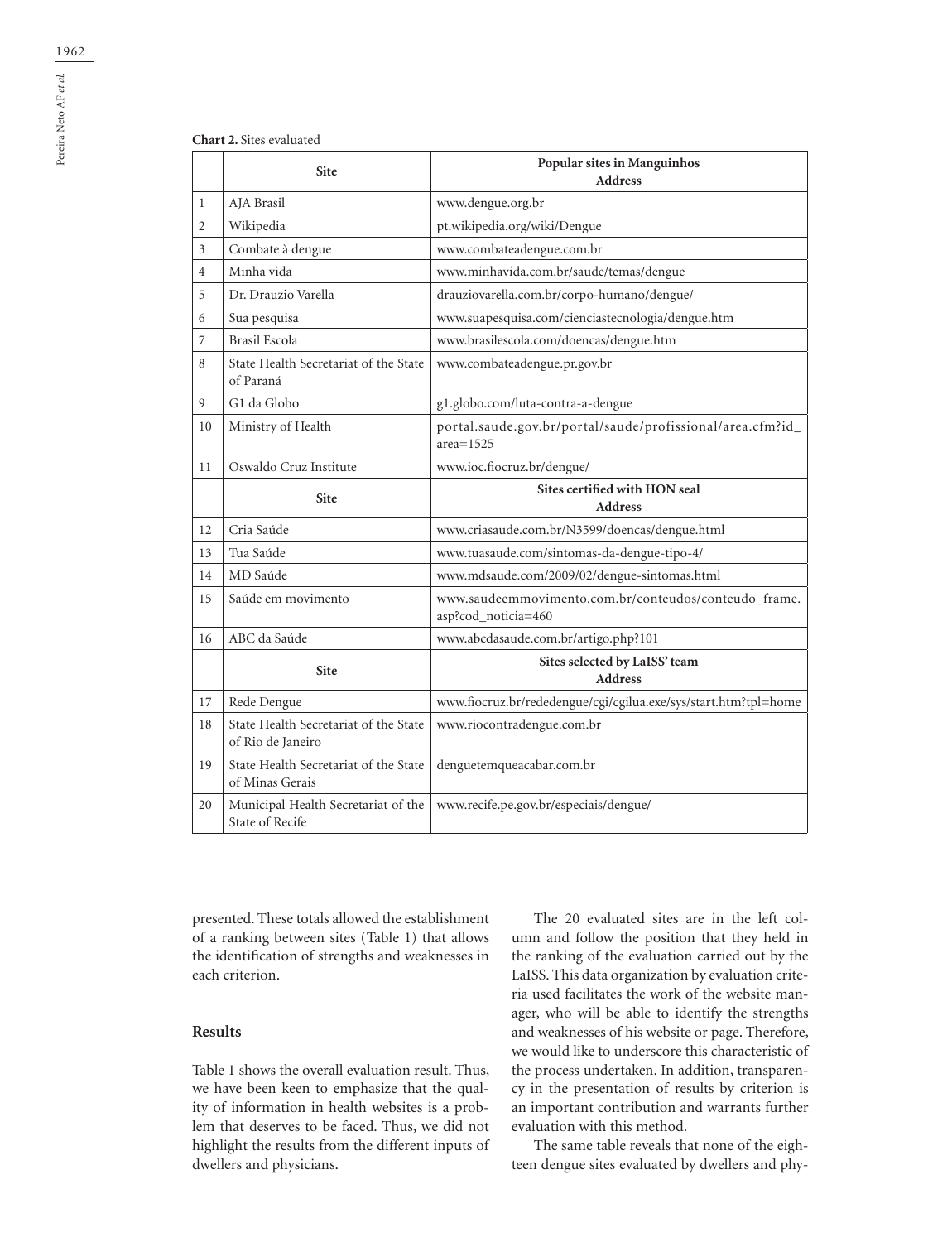# **Chart 2.** Sites evaluated

|    | <b>Site</b>                                                                                        | Popular sites in Manguinhos<br>Address                                    |  |  |  |
|----|----------------------------------------------------------------------------------------------------|---------------------------------------------------------------------------|--|--|--|
| 1  | AJA Brasil                                                                                         | www.dengue.org.br                                                         |  |  |  |
| 2  | Wikipedia                                                                                          | pt.wikipedia.org/wiki/Dengue                                              |  |  |  |
| 3  | Combate à dengue                                                                                   | www.combateadengue.com.br                                                 |  |  |  |
| 4  | Minha vida                                                                                         | www.minhavida.com.br/saude/temas/dengue                                   |  |  |  |
| 5  | Dr. Drauzio Varella                                                                                | drauziovarella.com.br/corpo-humano/dengue/                                |  |  |  |
| 6  | Sua pesquisa                                                                                       | www.suapesquisa.com/cienciastecnologia/dengue.htm                         |  |  |  |
| 7  | Brasil Escola                                                                                      | www.brasilescola.com/doencas/dengue.htm                                   |  |  |  |
| 8  | State Health Secretariat of the State<br>of Paraná                                                 | www.combateadengue.pr.gov.br                                              |  |  |  |
| 9  | G1 da Globo                                                                                        | g1.globo.com/luta-contra-a-dengue                                         |  |  |  |
| 10 | Ministry of Health                                                                                 | portal.saude.gov.br/portal/saude/profissional/area.cfm?id_<br>$area=1525$ |  |  |  |
| 11 | Oswaldo Cruz Institute                                                                             | www.ioc.fiocruz.br/dengue/                                                |  |  |  |
|    | Site                                                                                               | Sites certified with HON seal<br><b>Address</b>                           |  |  |  |
| 12 | Cria Saúde                                                                                         | www.criasaude.com.br/N3599/doencas/dengue.html                            |  |  |  |
| 13 | Tua Saúde                                                                                          | www.tuasaude.com/sintomas-da-dengue-tipo-4/                               |  |  |  |
| 14 | MD Saúde                                                                                           | www.mdsaude.com/2009/02/dengue-sintomas.html                              |  |  |  |
| 15 | Saúde em movimento<br>www.saudeemmovimento.com.br/conteudos/conteudo_frame.<br>asp?cod_noticia=460 |                                                                           |  |  |  |
| 16 | ABC da Saúde                                                                                       | www.abcdasaude.com.br/artigo.php?101                                      |  |  |  |
|    | <b>Site</b>                                                                                        | Sites selected by LaISS' team<br><b>Address</b>                           |  |  |  |
| 17 | Rede Dengue                                                                                        | www.fiocruz.br/rededengue/cgi/cgilua.exe/sys/start.htm?tpl=home           |  |  |  |
| 18 | State Health Secretariat of the State<br>of Rio de Janeiro                                         | www.riocontradengue.com.br                                                |  |  |  |
| 19 | State Health Secretariat of the State<br>of Minas Gerais                                           | denguetemqueacabar.com.br                                                 |  |  |  |
| 20 | Municipal Health Secretariat of the<br>State of Recife                                             | www.recife.pe.gov.br/especiais/dengue/                                    |  |  |  |

presented. These totals allowed the establishment of a ranking between sites (Table 1) that allows the identification of strengths and weaknesses in each criterion.

## **Results**

Table 1 shows the overall evaluation result. Thus, we have been keen to emphasize that the quality of information in health websites is a problem that deserves to be faced. Thus, we did not highlight the results from the different inputs of dwellers and physicians.

The 20 evaluated sites are in the left column and follow the position that they held in the ranking of the evaluation carried out by the LaISS. This data organization by evaluation criteria used facilitates the work of the website manager, who will be able to identify the strengths and weaknesses of his website or page. Therefore, we would like to underscore this characteristic of the process undertaken. In addition, transparency in the presentation of results by criterion is an important contribution and warrants further evaluation with this method.

The same table reveals that none of the eighteen dengue sites evaluated by dwellers and phy-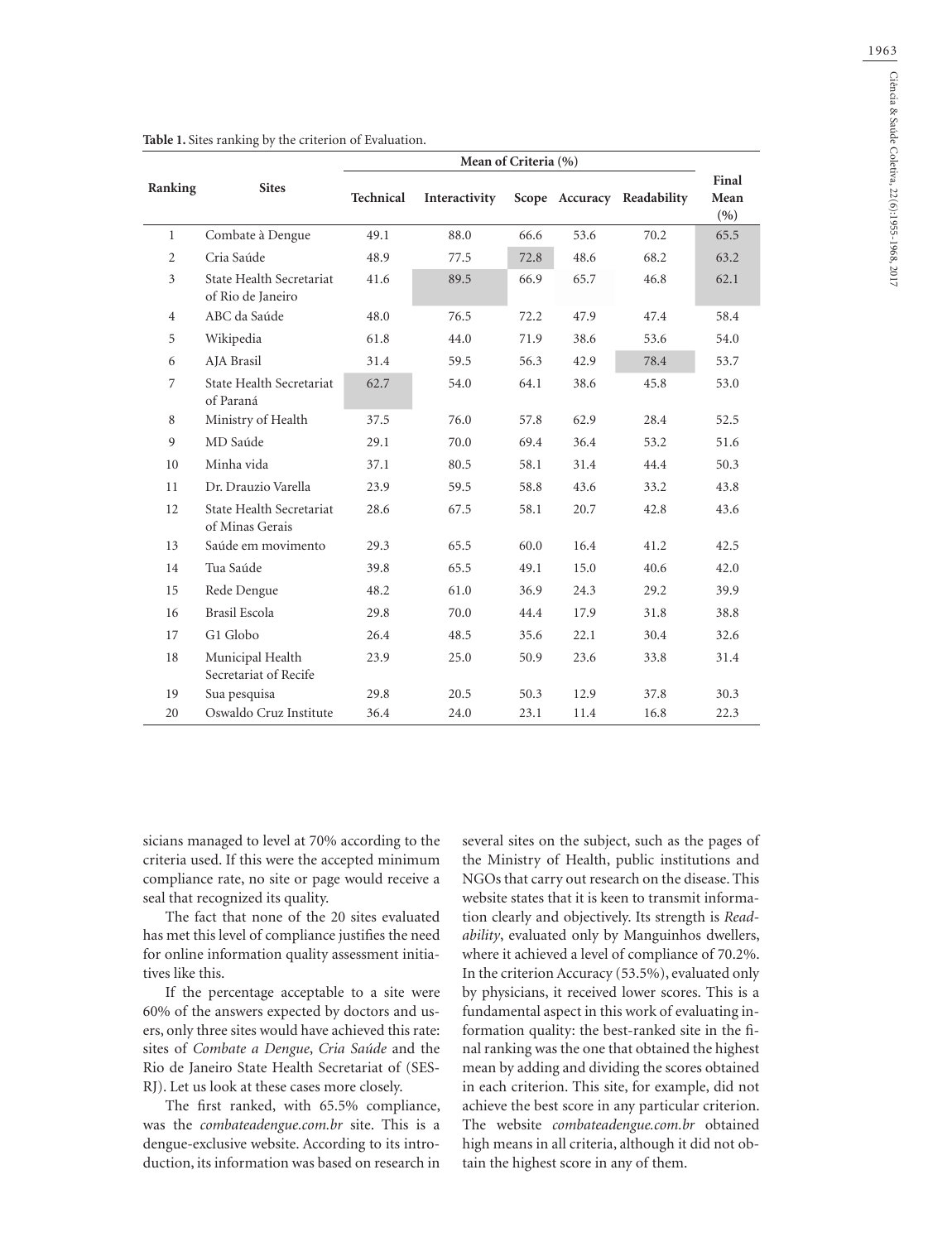|                |                                               |           | Mean of Criteria (%) |      |      |                            |                      |
|----------------|-----------------------------------------------|-----------|----------------------|------|------|----------------------------|----------------------|
| Ranking        | <b>Sites</b>                                  | Technical | Interactivity        |      |      | Scope Accuracy Readability | Final<br>Mean<br>(%) |
| $\mathbf{1}$   | Combate à Dengue                              | 49.1      | 88.0                 | 66.6 | 53.6 | 70.2                       | 65.5                 |
| $\overline{2}$ | Cria Saúde                                    | 48.9      | 77.5                 | 72.8 | 48.6 | 68.2                       | 63.2                 |
| 3              | State Health Secretariat<br>of Rio de Janeiro | 41.6      | 89.5                 | 66.9 | 65.7 | 46.8                       | 62.1                 |
| 4              | ABC da Saúde                                  | 48.0      | 76.5                 | 72.2 | 47.9 | 47.4                       | 58.4                 |
| 5              | Wikipedia                                     | 61.8      | 44.0                 | 71.9 | 38.6 | 53.6                       | 54.0                 |
| 6              | AJA Brasil                                    | 31.4      | 59.5                 | 56.3 | 42.9 | 78.4                       | 53.7                 |
| 7              | State Health Secretariat<br>of Paraná         | 62.7      | 54.0                 | 64.1 | 38.6 | 45.8                       | 53.0                 |
| 8              | Ministry of Health                            | 37.5      | 76.0                 | 57.8 | 62.9 | 28.4                       | 52.5                 |
| 9              | MD Saúde                                      | 29.1      | 70.0                 | 69.4 | 36.4 | 53.2                       | 51.6                 |
| 10             | Minha vida                                    | 37.1      | 80.5                 | 58.1 | 31.4 | 44.4                       | 50.3                 |
| 11             | Dr. Drauzio Varella                           | 23.9      | 59.5                 | 58.8 | 43.6 | 33.2                       | 43.8                 |
| 12             | State Health Secretariat<br>of Minas Gerais   | 28.6      | 67.5                 | 58.1 | 20.7 | 42.8                       | 43.6                 |
| 13             | Saúde em movimento                            | 29.3      | 65.5                 | 60.0 | 16.4 | 41.2                       | 42.5                 |
| 14             | Tua Saúde                                     | 39.8      | 65.5                 | 49.1 | 15.0 | 40.6                       | 42.0                 |
| 15             | Rede Dengue                                   | 48.2      | 61.0                 | 36.9 | 24.3 | 29.2                       | 39.9                 |
| 16             | Brasil Escola                                 | 29.8      | 70.0                 | 44.4 | 17.9 | 31.8                       | 38.8                 |
| 17             | G1 Globo                                      | 26.4      | 48.5                 | 35.6 | 22.1 | 30.4                       | 32.6                 |
| 18             | Municipal Health<br>Secretariat of Recife     | 23.9      | 25.0                 | 50.9 | 23.6 | 33.8                       | 31.4                 |
| 19             | Sua pesquisa                                  | 29.8      | 20.5                 | 50.3 | 12.9 | 37.8                       | 30.3                 |
| 20             | Oswaldo Cruz Institute                        | 36.4      | 24.0                 | 23.1 | 11.4 | 16.8                       | 22.3                 |

**Table 1.** Sites ranking by the criterion of Evaluation.

sicians managed to level at 70% according to the criteria used. If this were the accepted minimum compliance rate, no site or page would receive a seal that recognized its quality.

The fact that none of the 20 sites evaluated has met this level of compliance justifies the need for online information quality assessment initiatives like this.

If the percentage acceptable to a site were 60% of the answers expected by doctors and users, only three sites would have achieved this rate: sites of *Combate a Dengue*, *Cria Saúde* and the Rio de Janeiro State Health Secretariat of (SES-RJ). Let us look at these cases more closely.

The first ranked, with 65.5% compliance, was the *combateadengue.com.br* site. This is a dengue-exclusive website. According to its introduction, its information was based on research in

several sites on the subject, such as the pages of the Ministry of Health, public institutions and NGOs that carry out research on the disease. This website states that it is keen to transmit information clearly and objectively. Its strength is *Readability*, evaluated only by Manguinhos dwellers, where it achieved a level of compliance of 70.2%. In the criterion Accuracy (53.5%), evaluated only by physicians, it received lower scores. This is a fundamental aspect in this work of evaluating information quality: the best-ranked site in the final ranking was the one that obtained the highest mean by adding and dividing the scores obtained in each criterion. This site, for example, did not achieve the best score in any particular criterion. The website *combateadengue.com.br* obtained high means in all criteria, although it did not obtain the highest score in any of them.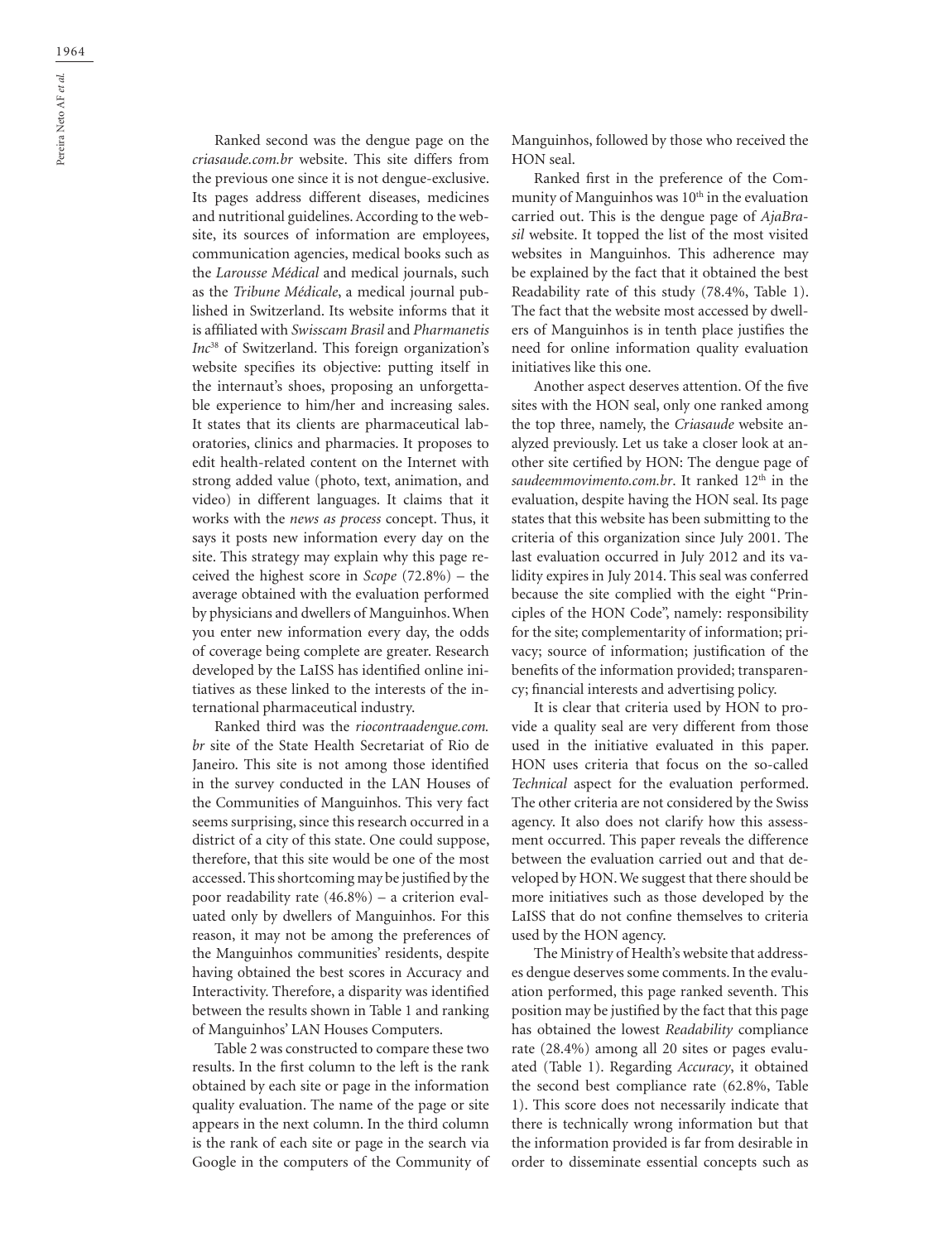Ranked second was the dengue page on the *criasaude.com.br* website. This site differs from the previous one since it is not dengue-exclusive. Its pages address different diseases, medicines and nutritional guidelines. According to the website, its sources of information are employees, communication agencies, medical books such as the *Larousse Médical* and medical journals, such as the *Tribune Médicale*, a medical journal published in Switzerland. Its website informs that it is affiliated with *Swisscam Brasil* and *Pharmanetis Inc*38 of Switzerland. This foreign organization's website specifies its objective: putting itself in the internaut's shoes, proposing an unforgettable experience to him/her and increasing sales. It states that its clients are pharmaceutical laboratories, clinics and pharmacies. It proposes to edit health-related content on the Internet with strong added value (photo, text, animation, and video) in different languages. It claims that it works with the *news as process* concept. Thus, it says it posts new information every day on the site. This strategy may explain why this page received the highest score in *Scope* (72.8%) – the average obtained with the evaluation performed by physicians and dwellers of Manguinhos. When you enter new information every day, the odds of coverage being complete are greater. Research developed by the LaISS has identified online initiatives as these linked to the interests of the international pharmaceutical industry.

Ranked third was the *riocontraadengue.com. br* site of the State Health Secretariat of Rio de Janeiro. This site is not among those identified in the survey conducted in the LAN Houses of the Communities of Manguinhos. This very fact seems surprising, since this research occurred in a district of a city of this state. One could suppose, therefore, that this site would be one of the most accessed. This shortcoming may be justified by the poor readability rate (46.8%) – a criterion evaluated only by dwellers of Manguinhos. For this reason, it may not be among the preferences of the Manguinhos communities' residents, despite having obtained the best scores in Accuracy and Interactivity. Therefore, a disparity was identified between the results shown in Table 1 and ranking of Manguinhos' LAN Houses Computers.

Table 2 was constructed to compare these two results. In the first column to the left is the rank obtained by each site or page in the information quality evaluation. The name of the page or site appears in the next column. In the third column is the rank of each site or page in the search via Google in the computers of the Community of

Manguinhos, followed by those who received the HON seal.

Ranked first in the preference of the Community of Manguinhos was 10<sup>th</sup> in the evaluation carried out. This is the dengue page of *AjaBrasil* website. It topped the list of the most visited websites in Manguinhos. This adherence may be explained by the fact that it obtained the best Readability rate of this study (78.4%, Table 1). The fact that the website most accessed by dwellers of Manguinhos is in tenth place justifies the need for online information quality evaluation initiatives like this one.

Another aspect deserves attention. Of the five sites with the HON seal, only one ranked among the top three, namely, the *Criasaude* website analyzed previously. Let us take a closer look at another site certified by HON: The dengue page of saudeemmovimento.com.br. It ranked 12<sup>th</sup> in the evaluation, despite having the HON seal. Its page states that this website has been submitting to the criteria of this organization since July 2001. The last evaluation occurred in July 2012 and its validity expires in July 2014. This seal was conferred because the site complied with the eight "Principles of the HON Code", namely: responsibility for the site; complementarity of information; privacy; source of information; justification of the benefits of the information provided; transparency; financial interests and advertising policy.

It is clear that criteria used by HON to provide a quality seal are very different from those used in the initiative evaluated in this paper. HON uses criteria that focus on the so-called *Technical* aspect for the evaluation performed. The other criteria are not considered by the Swiss agency. It also does not clarify how this assessment occurred. This paper reveals the difference between the evaluation carried out and that developed by HON. We suggest that there should be more initiatives such as those developed by the LaISS that do not confine themselves to criteria used by the HON agency.

The Ministry of Health's website that addresses dengue deserves some comments. In the evaluation performed, this page ranked seventh. This position may be justified by the fact that this page has obtained the lowest *Readability* compliance rate (28.4%) among all 20 sites or pages evaluated (Table 1). Regarding *Accuracy*, it obtained the second best compliance rate (62.8%, Table 1). This score does not necessarily indicate that there is technically wrong information but that the information provided is far from desirable in order to disseminate essential concepts such as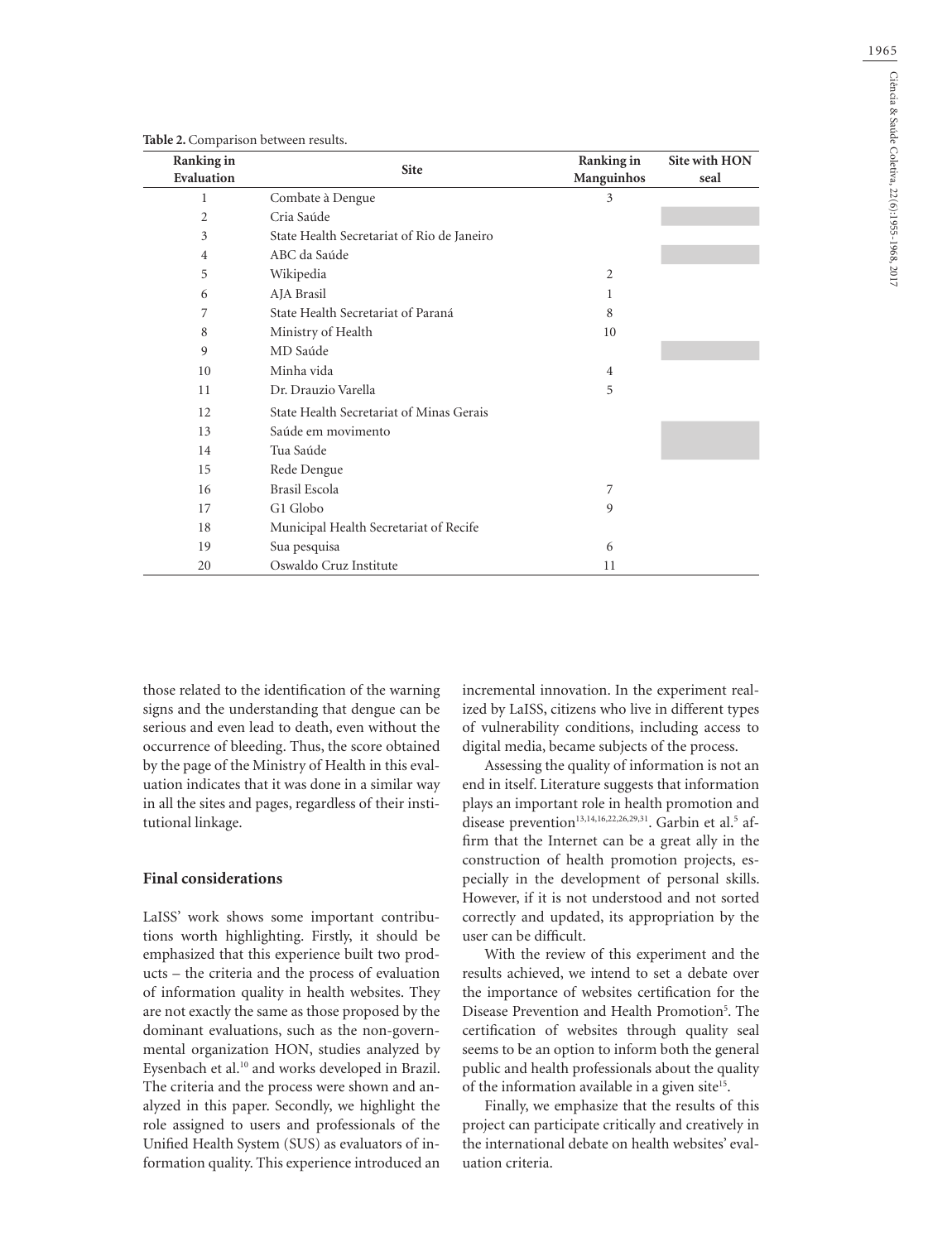| Ranking in<br>Evaluation | <b>Site</b>                                | Ranking in<br>Manguinhos | Site with HON<br>seal |
|--------------------------|--------------------------------------------|--------------------------|-----------------------|
| 1                        | Combate à Dengue                           | 3                        |                       |
| 2                        | Cria Saúde                                 |                          |                       |
| 3                        | State Health Secretariat of Rio de Janeiro |                          |                       |
| $\overline{4}$           | ABC da Saúde                               |                          |                       |
| 5                        | Wikipedia                                  | $\overline{2}$           |                       |
| 6                        | AJA Brasil                                 | 1                        |                       |
| 7                        | State Health Secretariat of Paraná         | 8                        |                       |
| 8                        | Ministry of Health                         | 10                       |                       |
| 9                        | MD Saúde                                   |                          |                       |
| 10                       | Minha vida                                 | 4                        |                       |
| 11                       | Dr. Drauzio Varella                        | 5                        |                       |
| 12                       | State Health Secretariat of Minas Gerais   |                          |                       |
| 13                       | Saúde em movimento                         |                          |                       |
| 14                       | Tua Saúde                                  |                          |                       |
| 15                       | Rede Dengue                                |                          |                       |
| 16                       | Brasil Escola                              | 7                        |                       |
| 17                       | G1 Globo                                   | 9                        |                       |
| 18                       | Municipal Health Secretariat of Recife     |                          |                       |
| 19                       | Sua pesquisa                               | 6                        |                       |
| 20                       | Oswaldo Cruz Institute                     | 11                       |                       |

**Table 2. Comparison between** 

those related to the identification of the warning signs and the understanding that dengue can be serious and even lead to death, even without the occurrence of bleeding. Thus, the score obtained by the page of the Ministry of Health in this evaluation indicates that it was done in a similar way in all the sites and pages, regardless of their institutional linkage.

# **Final considerations**

LaISS' work shows some important contributions worth highlighting. Firstly, it should be emphasized that this experience built two products – the criteria and the process of evaluation of information quality in health websites. They are not exactly the same as those proposed by the dominant evaluations, such as the non-governmental organization HON, studies analyzed by Eysenbach et al.10 and works developed in Brazil. The criteria and the process were shown and analyzed in this paper. Secondly, we highlight the role assigned to users and professionals of the Unified Health System (SUS) as evaluators of information quality. This experience introduced an incremental innovation. In the experiment realized by LaISS, citizens who live in different types of vulnerability conditions, including access to digital media, became subjects of the process.

Assessing the quality of information is not an end in itself. Literature suggests that information plays an important role in health promotion and disease prevention<sup>13,14,16,22,26,29,31</sup>. Garbin et al.<sup>5</sup> affirm that the Internet can be a great ally in the construction of health promotion projects, especially in the development of personal skills. However, if it is not understood and not sorted correctly and updated, its appropriation by the user can be difficult.

With the review of this experiment and the results achieved, we intend to set a debate over the importance of websites certification for the Disease Prevention and Health Promotion<sup>5</sup>. The certification of websites through quality seal seems to be an option to inform both the general public and health professionals about the quality of the information available in a given site15.

Finally, we emphasize that the results of this project can participate critically and creatively in the international debate on health websites' evaluation criteria.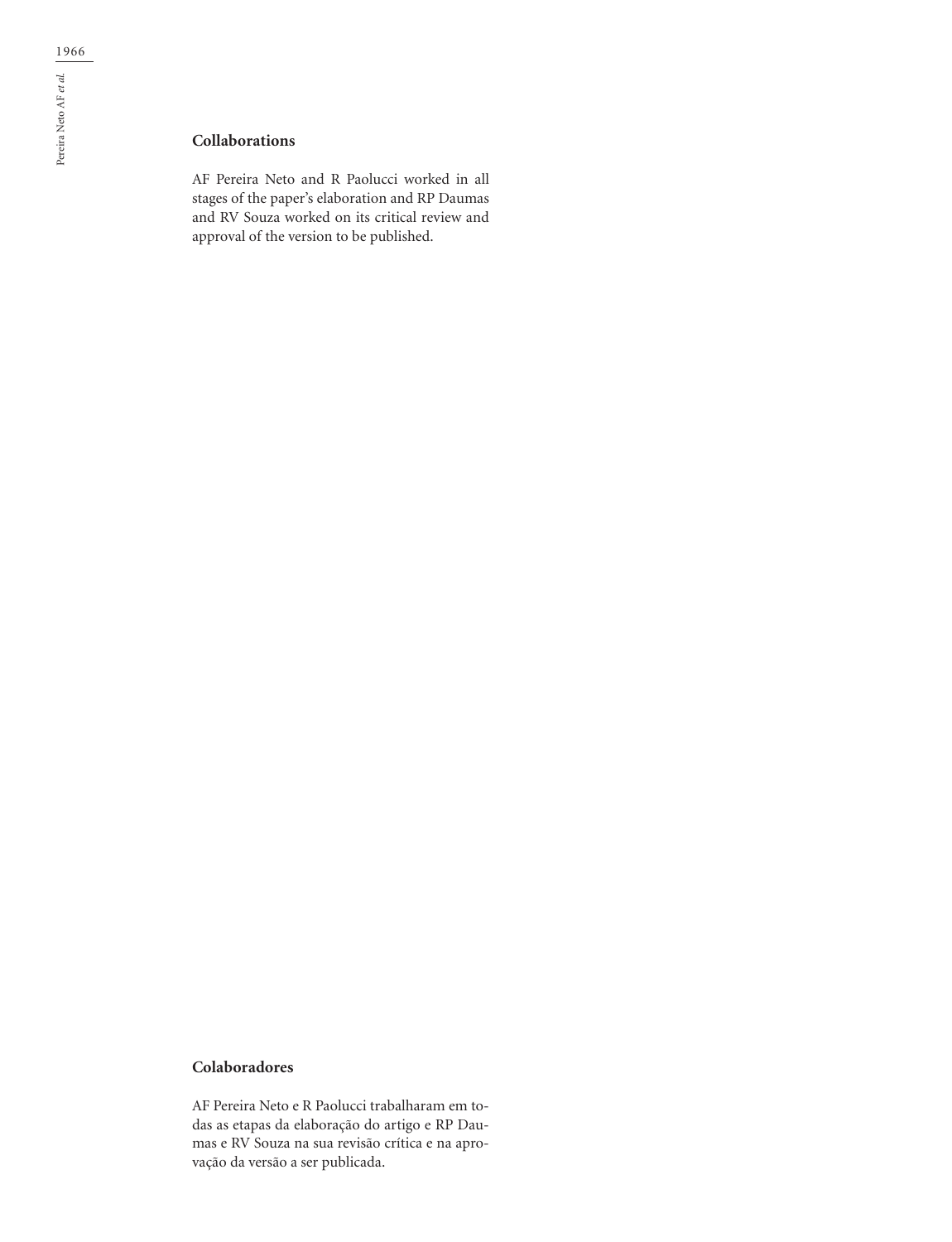Pereira Neto AF *et al.*

# **Collaborations**

AF Pereira Neto and R Paolucci worked in all stages of the paper's elaboration and RP Daumas and RV Souza worked on its critical review and approval of the version to be published.

# **Colaboradores**

AF Pereira Neto e R Paolucci trabalharam em todas as etapas da elaboração do artigo e RP Daumas e RV Souza na sua revisão crítica e na aprovação da versão a ser publicada.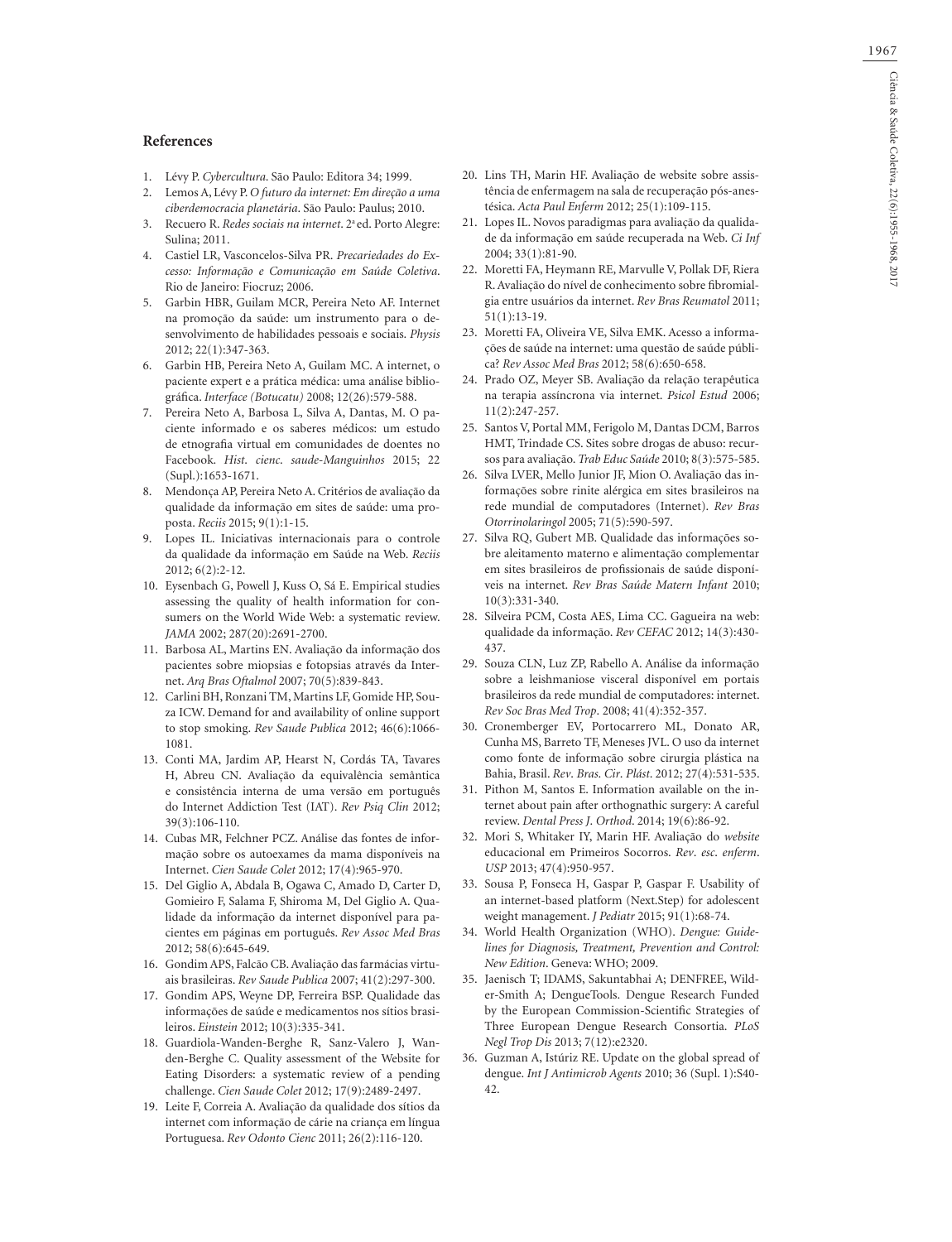#### **References**

- 1. Lévy P. *Cybercultura*. São Paulo: Editora 34; 1999.
- 2. Lemos A, Lévy P. *O futuro da internet: Em direção a uma ciberdemocracia planetária*. São Paulo: Paulus; 2010.
- 3. Recuero R. *Redes sociais na internet*. 2<sup>ª</sup> ed. Porto Alegre: Sulina; 2011.
- 4. Castiel LR, Vasconcelos-Silva PR. *Precariedades do Excesso: Informação e Comunicação em Saúde Coletiva*. Rio de Janeiro: Fiocruz; 2006.
- 5. Garbin HBR, Guilam MCR, Pereira Neto AF. Internet na promoção da saúde: um instrumento para o desenvolvimento de habilidades pessoais e sociais. *Physis* 2012; 22(1):347-363.
- 6. Garbin HB, Pereira Neto A, Guilam MC. A internet, o paciente expert e a prática médica: uma análise bibliográfica. *Interface (Botucatu)* 2008; 12(26):579-588.
- 7. Pereira Neto A, Barbosa L, Silva A, Dantas, M. O paciente informado e os saberes médicos: um estudo de etnografia virtual em comunidades de doentes no Facebook. *Hist*. *cienc*. *saude-Manguinhos* 2015; 22 (Supl.):1653-1671.
- 8. Mendonça AP, Pereira Neto A. Critérios de avaliação da qualidade da informação em sites de saúde: uma proposta. *Reciis* 2015; 9(1):1-15.
- 9. Lopes IL. Iniciativas internacionais para o controle da qualidade da informação em Saúde na Web. *Reciis* 2012; 6(2):2-12.
- 10. Eysenbach G, Powell J, Kuss O, Sá E. Empirical studies assessing the quality of health information for consumers on the World Wide Web: a systematic review. *JAMA* 2002; 287(20):2691-2700.
- 11. Barbosa AL, Martins EN. Avaliação da informação dos pacientes sobre miopsias e fotopsias através da Internet. *Arq Bras Oftalmol* 2007; 70(5):839-843.
- 12. Carlini BH, Ronzani TM, Martins LF, Gomide HP, Souza ICW. Demand for and availability of online support to stop smoking. *Rev Saude Publica* 2012; 46(6):1066- 1081.
- 13. Conti MA, Jardim AP, Hearst N, Cordás TA, Tavares H, Abreu CN. Avaliação da equivalência semântica e consistência interna de uma versão em português do Internet Addiction Test (IAT). *Rev Psiq Clin* 2012; 39(3):106-110.
- 14. Cubas MR, Felchner PCZ. Análise das fontes de informação sobre os autoexames da mama disponíveis na Internet. *Cien Saude Colet* 2012; 17(4):965-970.
- 15. Del Giglio A, Abdala B, Ogawa C, Amado D, Carter D, Gomieiro F, Salama F, Shiroma M, Del Giglio A. Qualidade da informação da internet disponível para pacientes em páginas em português. *Rev Assoc Med Bras* 2012; 58(6):645-649.
- 16. Gondim APS, Falcão CB. Avaliação das farmácias virtuais brasileiras. *Rev Saude Publica* 2007; 41(2):297-300.
- 17. Gondim APS, Weyne DP, Ferreira BSP. Qualidade das informações de saúde e medicamentos nos sítios brasileiros. *Einstein* 2012; 10(3):335-341.
- 18. Guardiola-Wanden-Berghe R, Sanz-Valero J, Wanden-Berghe C. Quality assessment of the Website for Eating Disorders: a systematic review of a pending challenge. *Cien Saude Colet* 2012; 17(9):2489-2497.
- 19. Leite F, Correia A. Avaliação da qualidade dos sítios da internet com informação de cárie na criança em língua Portuguesa. *Rev Odonto Cienc* 2011; 26(2):116-120.
- 20. Lins TH, Marin HF. Avaliação de website sobre assistência de enfermagem na sala de recuperação pós-anestésica. *Acta Paul Enferm* 2012; 25(1):109-115.
- 21. Lopes IL. Novos paradigmas para avaliação da qualidade da informação em saúde recuperada na Web. *Ci Inf* 2004; 33(1):81-90.
- 22. Moretti FA, Heymann RE, Marvulle V, Pollak DF, Riera R. Avaliação do nível de conhecimento sobre fibromialgia entre usuários da internet. *Rev Bras Reumatol* 2011; 51(1):13-19.
- 23. Moretti FA, Oliveira VE, Silva EMK. Acesso a informações de saúde na internet: uma questão de saúde pública? *Rev Assoc Med Bras* 2012; 58(6):650-658.
- 24. Prado OZ, Meyer SB. Avaliação da relação terapêutica na terapia assíncrona via internet. *Psicol Estud* 2006; 11(2):247-257.
- 25. Santos V, Portal MM, Ferigolo M, Dantas DCM, Barros HMT, Trindade CS. Sites sobre drogas de abuso: recursos para avaliação. *Trab Educ Saúde* 2010; 8(3):575-585.
- 26. Silva LVER, Mello Junior JF, Mion O. Avaliação das informações sobre rinite alérgica em sites brasileiros na rede mundial de computadores (Internet). *Rev Bras Otorrinolaringol* 2005; 71(5):590-597.
- 27. Silva RQ, Gubert MB. Qualidade das informações sobre aleitamento materno e alimentação complementar em sites brasileiros de profissionais de saúde disponíveis na internet. *Rev Bras Saúde Matern Infant* 2010; 10(3):331-340.
- 28. Silveira PCM, Costa AES, Lima CC. Gagueira na web: qualidade da informação. *Rev CEFAC* 2012; 14(3):430- 437.
- 29. Souza CLN, Luz ZP, Rabello A. Análise da informação sobre a leishmaniose visceral disponível em portais brasileiros da rede mundial de computadores: internet. *Rev Soc Bras Med Trop*. 2008; 41(4):352-357.
- 30. Cronemberger EV, Portocarrero ML, Donato AR, Cunha MS, Barreto TF, Meneses JVL. O uso da internet como fonte de informação sobre cirurgia plástica na Bahia, Brasil. *Rev*. *Bras*. *Cir*. *Plást*. 2012; 27(4):531-535.
- 31. Pithon M, Santos E. Information available on the internet about pain after orthognathic surgery: A careful review. *Dental Press J*. *Orthod*. 2014; 19(6):86-92.
- 32. Mori S, Whitaker IY, Marin HF. Avaliação do *website*  educacional em Primeiros Socorros. *Rev*. *esc*. *enferm*. *USP* 2013; 47(4):950-957.
- 33. Sousa P, Fonseca H, Gaspar P, Gaspar F. Usability of an internet-based platform (Next.Step) for adolescent weight management. *J Pediatr* 2015; 91(1):68-74.
- 34. World Health Organization (WHO). *Dengue: Guidelines for Diagnosis, Treatment, Prevention and Control: New Edition*. Geneva: WHO; 2009.
- 35. Jaenisch T; IDAMS, Sakuntabhai A; DENFREE, Wilder-Smith A; DengueTools. Dengue Research Funded by the European Commission-Scientific Strategies of Three European Dengue Research Consortia. *PLoS Negl Trop Dis* 2013; 7(12):e2320.
- 36. Guzman A, Istúriz RE. Update on the global spread of dengue. *Int J Antimicrob Agents* 2010; 36 (Supl. 1):S40- 42.